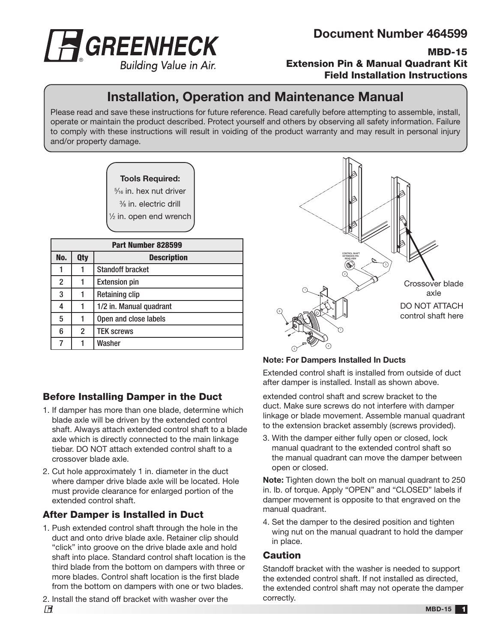

MBD-15 Extension Pin & Manual Quadrant Kit Field Installation Instructions

# Installation, Operation and Maintenance Manual

Please read and save these instructions for future reference. Read carefully before attempting to assemble, install, operate or maintain the product described. Protect yourself and others by observing all safety information. Failure to comply with these instructions will result in voiding of the product warranty and may result in personal injury and/or property damage.

#### Tools Required:

5 ⁄16 in. hex nut driver 3 ⁄8 in. electric drill

1 ⁄2 in. open end wrench

| Part Number 828599 |            |                         |
|--------------------|------------|-------------------------|
| No.                | <b>Qty</b> | <b>Description</b>      |
| 1                  |            | <b>Standoff bracket</b> |
| 2                  |            | <b>Extension pin</b>    |
| 3                  |            | <b>Retaining clip</b>   |
| 4                  |            | 1/2 in. Manual quadrant |
| 5                  |            | Open and close labels   |
| 6                  | 2          | <b>TEK screws</b>       |
|                    |            | Washer                  |

## Before Installing Damper in the Duct

- 1. If damper has more than one blade, determine which blade axle will be driven by the extended control shaft. Always attach extended control shaft to a blade axle which is directly connected to the main linkage tiebar. DO NOT attach extended control shaft to a crossover blade axle.
- 2. Cut hole approximately 1 in. diameter in the duct where damper drive blade axle will be located. Hole must provide clearance for enlarged portion of the extended control shaft.

## After Damper is Installed in Duct

- 1. Push extended control shaft through the hole in the duct and onto drive blade axle. Retainer clip should "click" into groove on the drive blade axle and hold shaft into place. Standard control shaft location is the third blade from the bottom on dampers with three or more blades. Control shaft location is the first blade from the bottom on dampers with one or two blades.
- 2. Install the stand off bracket with washer over the



### Note: For Dampers Installed In Ducts

Extended control shaft is installed from outside of duct after damper is installed. Install as shown above.

extended control shaft and screw bracket to the duct. Make sure screws do not interfere with damper linkage or blade movement. Assemble manual quadrant to the extension bracket assembly (screws provided).

3. With the damper either fully open or closed, lock manual quadrant to the extended control shaft so the manual quadrant can move the damper between open or closed.

Note: Tighten down the bolt on manual quadrant to 250 in. lb. of torque. Apply "OPEN" and "CLOSED" labels if damper movement is opposite to that engraved on the manual quadrant.

4. Set the damper to the desired position and tighten wing nut on the manual quadrant to hold the damper in place.

### **Caution**

Standoff bracket with the washer is needed to support the extended control shaft. If not installed as directed, the extended control shaft may not operate the damper correctly.